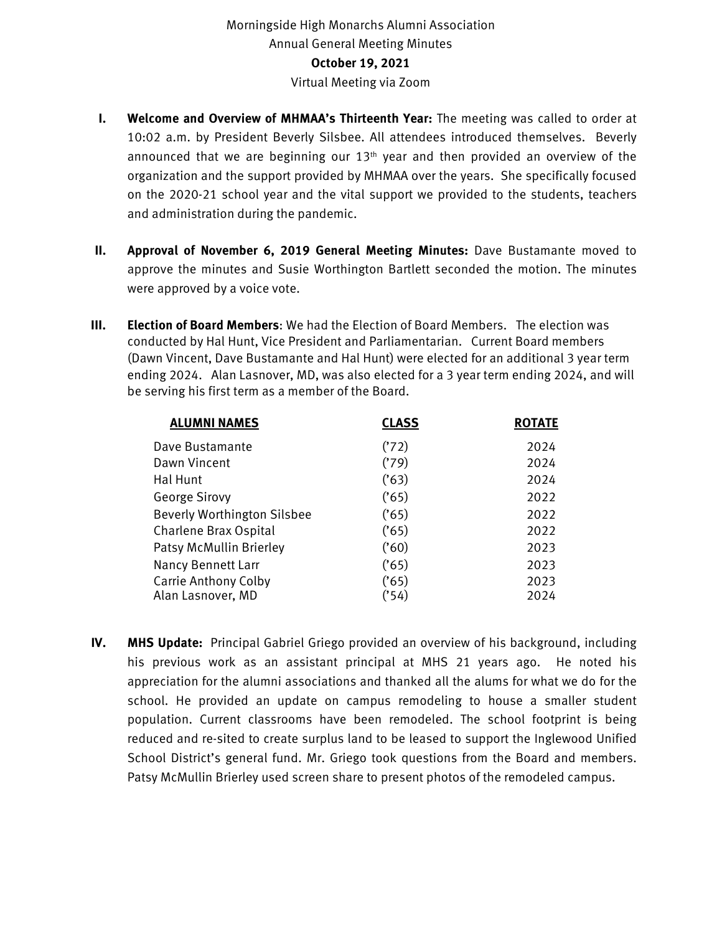## Morningside High Monarchs Alumni Association Annual General Meeting Minutes **October 19, 2021** Virtual Meeting via Zoom

- **I. Welcome and Overview of MHMAA's Thirteenth Year:** The meeting was called to order at 10:02 a.m. by President Beverly Silsbee. All attendees introduced themselves. Beverly announced that we are beginning our  $13<sup>th</sup>$  year and then provided an overview of the organization and the support provided by MHMAA over the years. She specifically focused on the 2020-21 school year and the vital support we provided to the students, teachers and administration during the pandemic.
- **II. Approval of November 6, 2019 General Meeting Minutes:** Dave Bustamante moved to approve the minutes and Susie Worthington Bartlett seconded the motion. The minutes were approved by a voice vote.
- **III. Election of Board Members**: We had the Election of Board Members. The election was conducted by Hal Hunt, Vice President and Parliamentarian. Current Board members (Dawn Vincent, Dave Bustamante and Hal Hunt) were elected for an additional 3 year term ending 2024. Alan Lasnover, MD, was also elected for a 3 year term ending 2024, and will be serving his first term as a member of the Board.

| <b>ALUMNI NAMES</b>                | <b>CLASS</b> | <b>ROTATE</b> |
|------------------------------------|--------------|---------------|
| Dave Bustamante                    | ('72)        | 2024          |
| Dawn Vincent                       | ('79)        | 2024          |
| Hal Hunt                           | (63)         | 2024          |
| <b>George Sirovy</b>               | (65)         | 2022          |
| <b>Beverly Worthington Silsbee</b> | (65)         | 2022          |
| Charlene Brax Ospital              | (65)         | 2022          |
| Patsy McMullin Brierley            | $(^{60})$    | 2023          |
| Nancy Bennett Larr                 | (65)         | 2023          |
| <b>Carrie Anthony Colby</b>        | (65)         | 2023          |
| Alan Lasnover, MD                  | ('54)        | 2024          |

**IV. MHS Update:** Principal Gabriel Griego provided an overview of his background, including his previous work as an assistant principal at MHS 21 years ago. He noted his appreciation for the alumni associations and thanked all the alums for what we do for the school. He provided an update on campus remodeling to house a smaller student population. Current classrooms have been remodeled. The school footprint is being reduced and re-sited to create surplus land to be leased to support the Inglewood Unified School District's general fund. Mr. Griego took questions from the Board and members. Patsy McMullin Brierley used screen share to present photos of the remodeled campus.